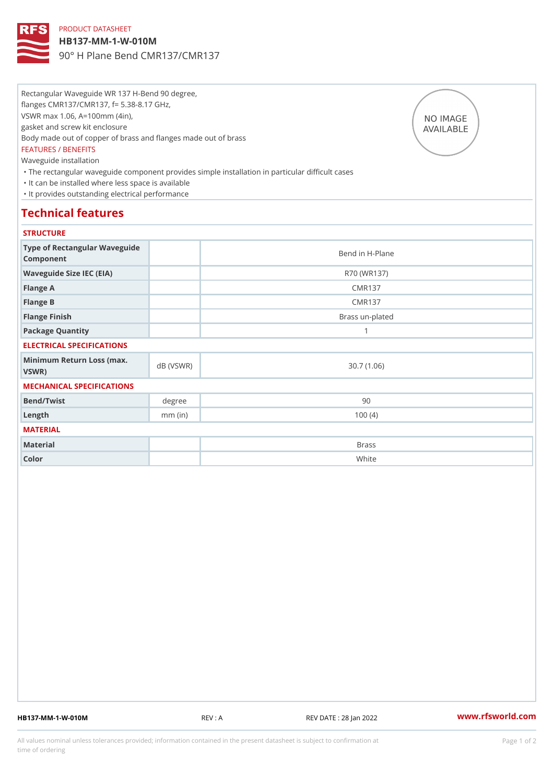## PRODUCT DATASHEET

HB137-MM-1-W-010M

90° H Plane Bend CMR137/CMR137

Rectangular Waveguide WR 137 H-Bend 90 degree, flanges CMR137/CMR137, f= 5.38-8.17 GHz, VSWR max 1.06, A=100mm (4in), gasket and screw kit enclosure Body made out of copper of brass and flanges made out of brass FEATURES / BENEFITS Waveguide installation "The rectangular waveguide component provides simple installation in particular difficult cases "It can be installed where less space is available "It provides outstanding electrical performance

# Technical features

### **STRUCTURE**

| Type of Rectangular Waveguide<br>Component |           | Bend in H-Plane |
|--------------------------------------------|-----------|-----------------|
| Waveguide Size IEC (EIA)                   |           | R70 (WR137)     |
| Flange A                                   |           | CMR137          |
| Flange B                                   |           | CMR137          |
| Flange Finish                              |           | Brass un-plated |
| Package Quantity                           |           | 1               |
| ELECTRICAL SPECIFICATIONS                  |           |                 |
| Minimum Return Loss (nax (VSWR)<br>VSWR)   |           | 30.7(1.06)      |
| MECHANICAL SPECIFICATIONS                  |           |                 |
| Bend/Twist                                 | degree    | 90              |
| $L$ ength                                  | $mm$ (in) | 100(4)          |
| MATERIAL                                   |           |                 |
| Material                                   |           | <b>Brass</b>    |
| Color                                      |           | White           |

HB137-MM-1-W-010M REV : A REV DATE : 28 Jan 2022 [www.](https://www.rfsworld.com)rfsworld.com